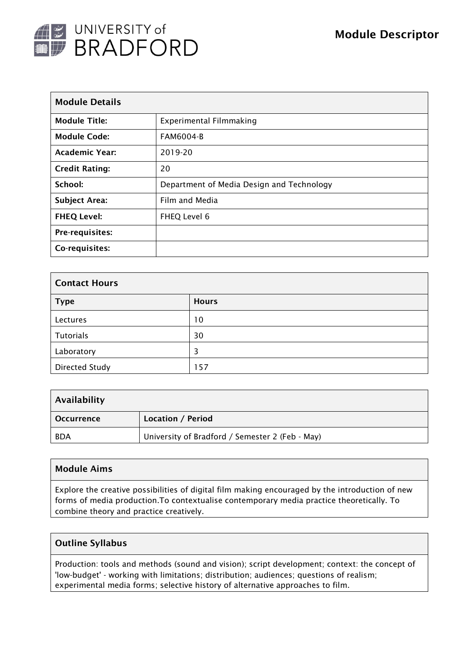

| <b>Module Details</b> |                                           |  |  |
|-----------------------|-------------------------------------------|--|--|
| <b>Module Title:</b>  | <b>Experimental Filmmaking</b>            |  |  |
| <b>Module Code:</b>   | <b>FAM6004-B</b>                          |  |  |
| <b>Academic Year:</b> | 2019-20                                   |  |  |
| <b>Credit Rating:</b> | 20                                        |  |  |
| School:               | Department of Media Design and Technology |  |  |
| <b>Subject Area:</b>  | Film and Media                            |  |  |
| <b>FHEQ Level:</b>    | FHEQ Level 6                              |  |  |
| Pre-requisites:       |                                           |  |  |
| Co-requisites:        |                                           |  |  |

| <b>Contact Hours</b> |              |  |  |  |
|----------------------|--------------|--|--|--|
| <b>Type</b>          | <b>Hours</b> |  |  |  |
| Lectures             | 10           |  |  |  |
| <b>Tutorials</b>     | 30           |  |  |  |
| Laboratory           | 3            |  |  |  |
| Directed Study       | 157          |  |  |  |

| Availability      |                                                 |
|-------------------|-------------------------------------------------|
| <b>Occurrence</b> | Location / Period                               |
| <b>BDA</b>        | University of Bradford / Semester 2 (Feb - May) |

### Module Aims

Explore the creative possibilities of digital film making encouraged by the introduction of new forms of media production.To contextualise contemporary media practice theoretically. To combine theory and practice creatively.

#### Outline Syllabus

Production: tools and methods (sound and vision); script development; context: the concept of 'low-budget' - working with limitations; distribution; audiences; questions of realism; experimental media forms; selective history of alternative approaches to film.